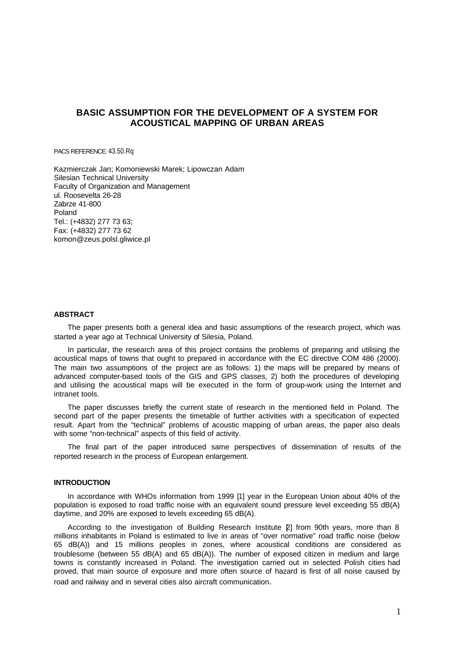# **BASIC ASSUMPTION FOR THE DEVELOPMENT OF A SYSTEM FOR ACOUSTICAL MAPPING OF URBAN AREAS**

PACS REFERENCE: 43.50.Rq

Kazmierczak Jan; Komoniewski Marek; Lipowczan Adam Silesian Technical University Faculty of Organization and Management ul. Roosevelta 26-28 Zabrze 41-800 Poland Tel.: (+4832) 277 73 63; Fax: (+4832) 277 73 62 komon@zeus.polsl.gliwice.pl

## **ABSTRACT**

The paper presents both a general idea and basic assumptions of the research project, which was started a year ago at Technical University of Silesia, Poland.

In particular, the research area of this project contains the problems of preparing and utilising the acoustical maps of towns that ought to prepared in accordance with the EC directive COM 486 (2000). The main two assumptions of the project are as follows: 1) the maps will be prepared by means of advanced computer-based tools of the GIS and GPS classes, 2) both the procedures of developing and utilising the acoustical maps will be executed in the form of group-work using the Internet and intranet tools.

The paper discusses briefly the current state of research in the mentioned field in Poland. The second part of the paper presents the timetable of further activities with a specification of expected result. Apart from the "technical" problems of acoustic mapping of urban areas, the paper also deals with some "non-technical" aspects of this field of activity.

The final part of the paper introduced same perspectives of dissemination of results of the reported research in the process of European enlargement.

## **INTRODUCTION**

In accordance with WHOs information from 1999 [1] year in the European Union about 40% of the population is exposed to road traffic noise with an equivalent sound pressure level exceeding 55 dB(A) daytime, and 20% are exposed to levels exceeding 65 dB(A).

According to the investigation of Building Research Institute Pl from 90th years, more than 8 millions inhabitants in Poland is estimated to live in areas of "over normative" road traffic noise (below 65 dB(A)) and 15 millions peoples in zones, where acoustical conditions are considered as troublesome (between 55 dB(A) and 65 dB(A)). The number of exposed citizen in medium and large towns is constantly increased in Poland. The investigation carried out in selected Polish cities had proved, that main source of exposure and more often source of hazard is first of all noise caused by road and railway and in several cities also aircraft communication.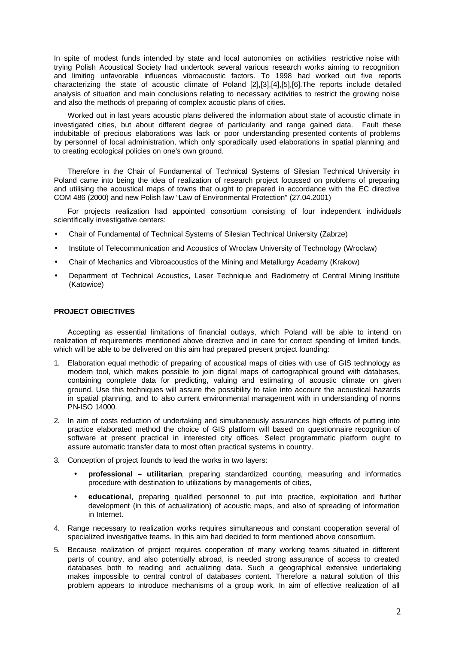In spite of modest funds intended by state and local autonomies on activities restrictive noise with trying Polish Acoustical Society had undertook several various research works aiming to recognition and limiting unfavorable influences vibroacoustic factors. To 1998 had worked out five reports characterizing the state of acoustic climate of Poland [2],[3],[4],[5],[6].The reports include detailed analysis of situation and main conclusions relating to necessary activities to restrict the growing noise and also the methods of preparing of complex acoustic plans of cities.

Worked out in last years acoustic plans delivered the information about state of acoustic climate in investigated cities, but about different degree of particularity and range gained data. Fault these indubitable of precious elaborations was lack or poor understanding presented contents of problems by personnel of local administration, which only sporadically used elaborations in spatial planning and to creating ecological policies on one's own ground.

Therefore in the Chair of Fundamental of Technical Systems of Silesian Technical University in Poland came into being the idea of realization of research project focussed on problems of preparing and utilising the acoustical maps of towns that ought to prepared in accordance with the EC directive COM 486 (2000) and new Polish law "Law of Environmental Protection" (27.04.2001)

For projects realization had appointed consortium consisting of four independent individuals scientifically investigative centers:

- Chair of Fundamental of Technical Systems of Silesian Technical University (Zabrze)
- Institute of Telecommunication and Acoustics of Wroclaw University of Technology (Wroclaw)
- Chair of Mechanics and Vibroacoustics of the Mining and Metallurgy Acadamy (Krakow)
- Department of Technical Acoustics, Laser Technique and Radiometry of Central Mining Institute (Katowice)

#### **PROJECT OBIECTIVES**

Accepting as essential limitations of financial outlays, which Poland will be able to intend on realization of requirements mentioned above directive and in care for correct spending of limited funds, which will be able to be delivered on this aim had prepared present project founding:

- 1. Elaboration equal methodic of preparing of acoustical maps of cities with use of GIS technology as modern tool, which makes possible to join digital maps of cartographical ground with databases, containing complete data for predicting, valuing and estimating of acoustic climate on given ground. Use this techniques will assure the possibility to take into account the acoustical hazards in spatial planning, and to also current environmental management with in understanding of norms PN-ISO 14000.
- 2. In aim of costs reduction of undertaking and simultaneously assurances high effects of putting into practice elaborated method the choice of GIS platform will based on questionnaire recognition of software at present practical in interested city offices. Select programmatic platform ought to assure automatic transfer data to most often practical systems in country.
- 3. Conception of project founds to lead the works in two layers:
	- **professional utilitarian**, preparing standardized counting, measuring and informatics procedure with destination to utilizations by managements of cities,
	- **educational**, preparing qualified personnel to put into practice, exploitation and further development (in this of actualization) of acoustic maps, and also of spreading of information in Internet.
- 4. Range necessary to realization works requires simultaneous and constant cooperation several of specialized investigative teams. In this aim had decided to form mentioned above consortium.
- 5. Because realization of project requires cooperation of many working teams situated in different parts of country, and also potentially abroad, is needed strong assurance of access to created databases both to reading and actualizing data. Such a geographical extensive undertaking makes impossible to central control of databases content. Therefore a natural solution of this problem appears to introduce mechanisms of a group work. In aim of effective realization of all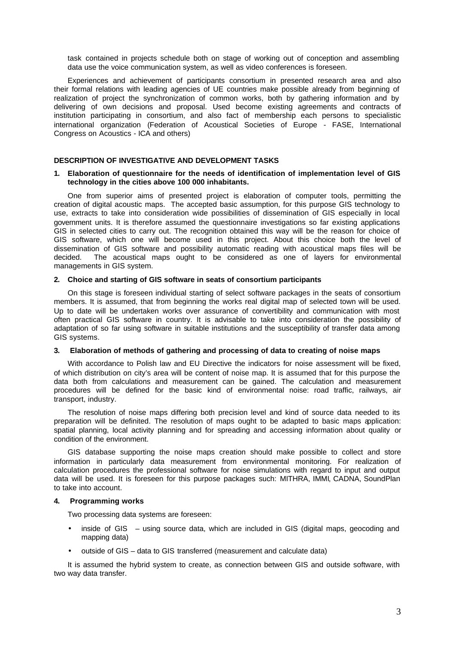task contained in projects schedule both on stage of working out of conception and assembling data use the voice communication system, as well as video conferences is foreseen.

Experiences and achievement of participants consortium in presented research area and also their formal relations with leading agencies of UE countries make possible already from beginning of realization of project the synchronization of common works, both by gathering information and by delivering of own decisions and proposal. Used become existing agreements and contracts of institution participating in consortium, and also fact of membership each persons to specialistic international organization (Federation of Acoustical Societies of Europe - FASE, International Congress on Acoustics - ICA and others)

## **DESCRIPTION OF INVESTIGATIVE AND DEVELOPMENT TASKS**

## **1. Elaboration of questionnaire for the needs of identification of implementation level of GIS technology in the cities above 100 000 inhabitants.**

One from superior aims of presented project is elaboration of computer tools, permitting the creation of digital acoustic maps. The accepted basic assumption, for this purpose GIS technology to use, extracts to take into consideration wide possibilities of dissemination of GIS especially in local government units. It is therefore assumed the questionnaire investigations so far existing applications GIS in selected cities to carry out. The recognition obtained this way will be the reason for choice of GIS software, which one will become used in this project. About this choice both the level of dissemination of GIS software and possibility automatic reading with acoustical maps files will be decided. The acoustical maps ought to be considered as one of layers for environmental managements in GIS system.

## **2. Choice and starting of GIS software in seats of consortium participants**

On this stage is foreseen individual starting of select software packages in the seats of consortium members. It is assumed, that from beginning the works real digital map of selected town will be used. Up to date will be undertaken works over assurance of convertibility and communication with most often practical GIS software in country. It is advisable to take into consideration the possibility of adaptation of so far using software in suitable institutions and the susceptibility of transfer data among GIS systems.

## **3. Elaboration of methods of gathering and processing of data to creating of noise maps**

With accordance to Polish law and EU Directive the indicators for noise assessment will be fixed, of which distribution on city's area will be content of noise map. It is assumed that for this purpose the data both from calculations and measurement can be gained. The calculation and measurement procedures will be defined for the basic kind of environmental noise: road traffic, railways, air transport, industry.

The resolution of noise maps differing both precision level and kind of source data needed to its preparation will be definited. The resolution of maps ought to be adapted to basic maps application: spatial planning, local activity planning and for spreading and accessing information about quality or condition of the environment.

GIS database supporting the noise maps creation should make possible to collect and store information in particularly data measurement from environmental monitoring. For realization of calculation procedures the professional software for noise simulations with regard to input and output data will be used. It is foreseen for this purpose packages such: MITHRA, IMMI, CADNA, SoundPlan to take into account.

#### **4. Programming works**

Two processing data systems are foreseen:

- inside of GIS using source data, which are included in GIS (digital maps, geocoding and mapping data)
- outside of GIS data to GIS transferred (measurement and calculate data)

It is assumed the hybrid system to create, as connection between GIS and outside software, with two way data transfer.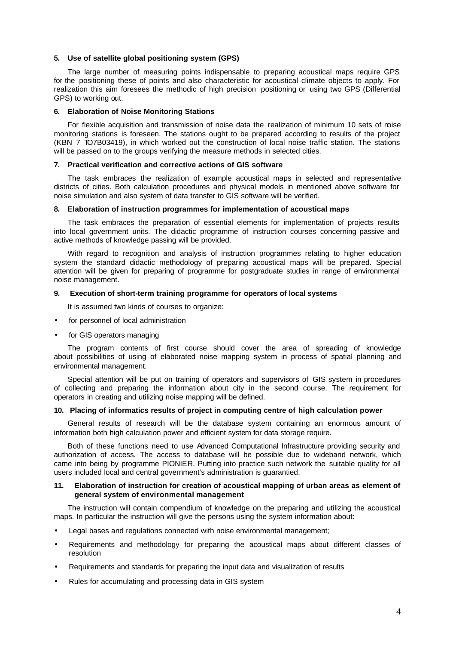#### **5. Use of satellite global positioning system (GPS)**

The large number of measuring points indispensable to preparing acoustical maps require GPS for the positioning these of points and also characteristic for acoustical climate objects to apply. For realization this aim foresees the methodic of high precision positioning or using two GPS (Differential GPS) to working out.

#### **6. Elaboration of Noise Monitoring Stations**

For flexible acquisition and transmission of noise data the realization of minimum 10 sets of noise monitoring stations is foreseen. The stations ought to be prepared according to results of the project (KBN 7 TO7B03419), in which worked out the construction of local noise traffic station. The stations will be passed on to the groups verifying the measure methods in selected cities.

#### **7. Practical verification and corrective actions of GIS software**

The task embraces the realization of example acoustical maps in selected and representative districts of cities. Both calculation procedures and physical models in mentioned above software for noise simulation and also system of data transfer to GIS software will be verified.

## **8. Elaboration of instruction programmes for implementation of acoustical maps**

The task embraces the preparation of essential elements for implementation of projects results into local government units. The didactic programme of instruction courses concerning passive and active methods of knowledge passing will be provided.

With regard to recognition and analysis of instruction programmes relating to higher education system the standard didactic methodology of preparing acoustical maps will be prepared. Special attention will be given for preparing of programme for postgraduate studies in range of environmental noise management.

## **9. Execution of short-term training programme for operators of local systems**

It is assumed two kinds of courses to organize:

- for personnel of local administration
- for GIS operators managing

The program contents of first course should cover the area of spreading of knowledge about possibilities of using of elaborated noise mapping system in process of spatial planning and environmental management.

Special attention will be put on training of operators and supervisors of GIS system in procedures of collecting and preparing the information about city in the second course. The requirement for operators in creating and utilizing noise mapping will be defined.

#### **10. Placing of informatics results of project in computing centre of high calculation power**

General results of research will be the database system containing an enormous amount of information both high calculation power and efficient system for data storage require.

Both of these functions need to use Advanced Computational Infrastructure providing security and authorization of access. The access to database will be possible due to wideband network, which came into being by programme PIONIER. Putting into practice such network the suitable quality for all users included local and central government's administration is guarantied.

#### **11. Elaboration of instruction for creation of acoustical mapping of urban areas as element of general system of environmental management**

The instruction will contain compendium of knowledge on the preparing and utilizing the acoustical maps. In particular the instruction will give the persons using the system information about:

- Legal bases and regulations connected with noise environmental management;
- Requirements and methodology for preparing the acoustical maps about different classes of resolution
- Requirements and standards for preparing the input data and visualization of results
- Rules for accumulating and processing data in GIS system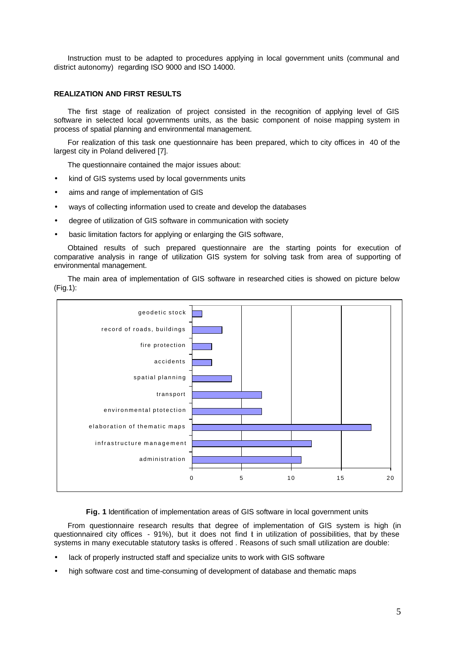Instruction must to be adapted to procedures applying in local government units (communal and district autonomy) regarding ISO 9000 and ISO 14000.

# **REALIZATION AND FIRST RESULTS**

The first stage of realization of project consisted in the recognition of applying level of GIS software in selected local governments units, as the basic component of noise mapping system in process of spatial planning and environmental management.

For realization of this task one questionnaire has been prepared, which to city offices in 40 of the largest city in Poland delivered [7].

The questionnaire contained the major issues about:

- kind of GIS systems used by local governments units
- aims and range of implementation of GIS
- ways of collecting information used to create and develop the databases
- degree of utilization of GIS software in communication with society
- basic limitation factors for applying or enlarging the GIS software,

Obtained results of such prepared questionnaire are the starting points for execution of comparative analysis in range of utilization GIS system for solving task from area of supporting of environmental management.

The main area of implementation of GIS software in researched cities is showed on picture below (Fig.1):



**Fig. 1** Identification of implementation areas of GIS software in local government units

From questionnaire research results that degree of implementation of GIS system is high (in questionnaired city offices - 91%), but it does not find t in utilization of possibilities, that by these systems in many executable statutory tasks is offered . Reasons of such small utilization are double:

- lack of properly instructed staff and specialize units to work with GIS software
- high software cost and time-consuming of development of database and thematic maps